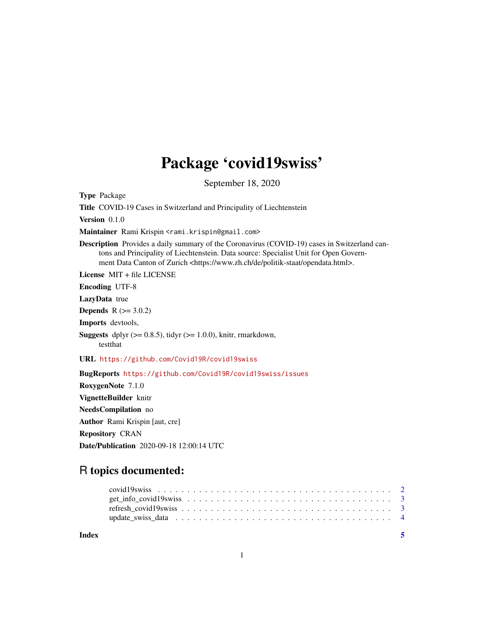## Package 'covid19swiss'

September 18, 2020

Type Package Title COVID-19 Cases in Switzerland and Principality of Liechtenstein Version 0.1.0

Maintainer Rami Krispin <rami.krispin@gmail.com>

Description Provides a daily summary of the Coronavirus (COVID-19) cases in Switzerland cantons and Principality of Liechtenstein. Data source: Specialist Unit for Open Government Data Canton of Zurich <https://www.zh.ch/de/politik-staat/opendata.html>.

License MIT + file LICENSE

Encoding UTF-8

LazyData true

**Depends**  $R (= 3.0.2)$ 

Imports devtools,

**Suggests** dplyr  $(>= 0.8.5)$ , tidyr  $(>= 1.0.0)$ , knitr, rmarkdown, testthat

URL <https://github.com/Covid19R/covid19swiss>

BugReports <https://github.com/Covid19R/covid19swiss/issues>

RoxygenNote 7.1.0 VignetteBuilder knitr NeedsCompilation no Author Rami Krispin [aut, cre] Repository CRAN Date/Publication 2020-09-18 12:00:14 UTC

### R topics documented:

| Index | - 5 |
|-------|-----|
|       |     |
|       |     |
|       |     |
|       |     |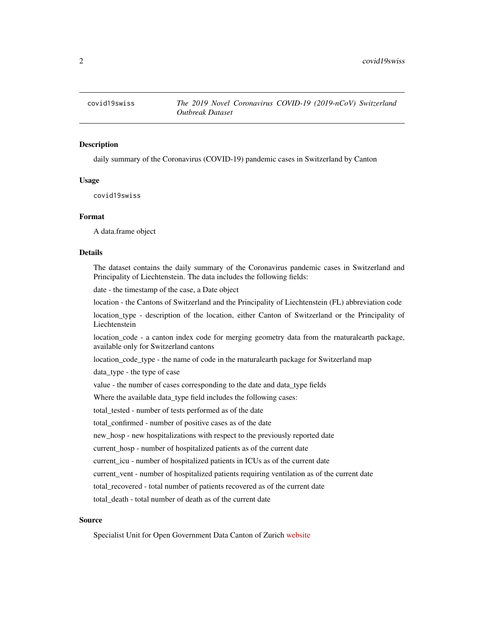<span id="page-1-0"></span>

#### **Description**

daily summary of the Coronavirus (COVID-19) pandemic cases in Switzerland by Canton

#### Usage

covid19swiss

#### Format

A data.frame object

#### Details

The dataset contains the daily summary of the Coronavirus pandemic cases in Switzerland and Principality of Liechtenstein. The data includes the following fields:

date - the timestamp of the case, a Date object

location - the Cantons of Switzerland and the Principality of Liechtenstein (FL) abbreviation code

location\_type - description of the location, either Canton of Switzerland or the Principality of Liechtenstein

location\_code - a canton index code for merging geometry data from the rnaturalearth package, available only for Switzerland cantons

location\_code\_type - the name of code in the rnaturalearth package for Switzerland map

data\_type - the type of case

value - the number of cases corresponding to the date and data\_type fields

Where the available data\_type field includes the following cases:

total\_tested - number of tests performed as of the date

total\_confirmed - number of positive cases as of the date

new hosp - new hospitalizations with respect to the previously reported date

current\_hosp - number of hospitalized patients as of the current date

current\_icu - number of hospitalized patients in ICUs as of the current date

current\_vent - number of hospitalized patients requiring ventilation as of the current date

total\_recovered - total number of patients recovered as of the current date

total\_death - total number of death as of the current date

#### Source

Specialist Unit for Open Government Data Canton of Zurich [website](https://www.zh.ch/de/politik-staat/opendata.html)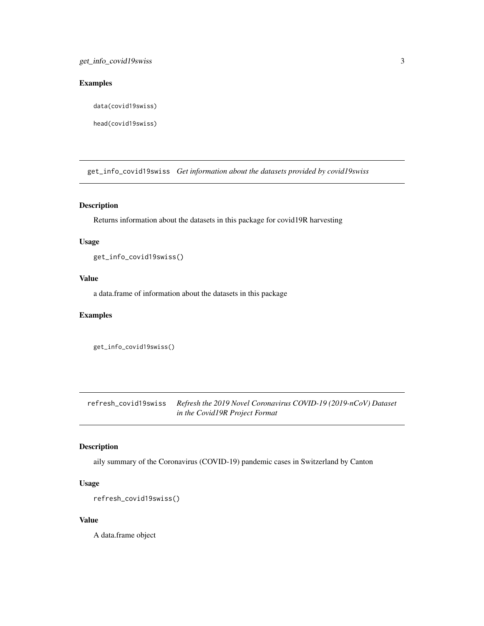#### <span id="page-2-0"></span>Examples

data(covid19swiss)

head(covid19swiss)

get\_info\_covid19swiss *Get information about the datasets provided by covid19swiss*

#### Description

Returns information about the datasets in this package for covid19R harvesting

#### Usage

get\_info\_covid19swiss()

#### Value

a data.frame of information about the datasets in this package

#### Examples

```
get_info_covid19swiss()
```
refresh\_covid19swiss *Refresh the 2019 Novel Coronavirus COVID-19 (2019-nCoV) Dataset in the Covid19R Project Format*

#### Description

aily summary of the Coronavirus (COVID-19) pandemic cases in Switzerland by Canton

#### Usage

```
refresh_covid19swiss()
```
#### Value

A data.frame object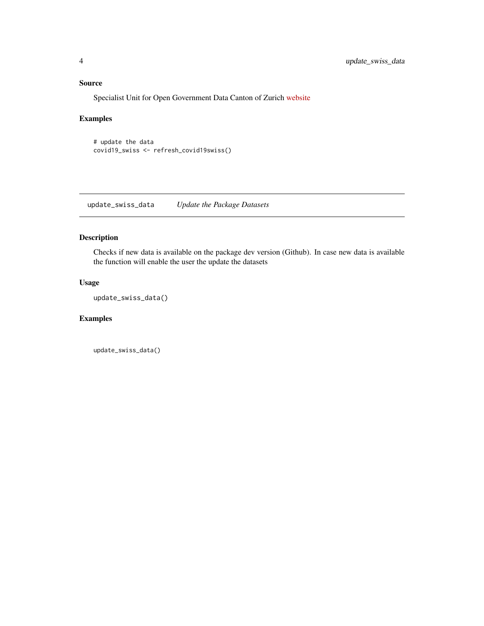#### <span id="page-3-0"></span>Source

Specialist Unit for Open Government Data Canton of Zurich [website](https://www.zh.ch/de/politik-staat/opendata.html)

#### Examples

```
# update the data
covid19_swiss <- refresh_covid19swiss()
```
update\_swiss\_data *Update the Package Datasets*

#### Description

Checks if new data is available on the package dev version (Github). In case new data is available the function will enable the user the update the datasets

#### Usage

update\_swiss\_data()

#### Examples

update\_swiss\_data()